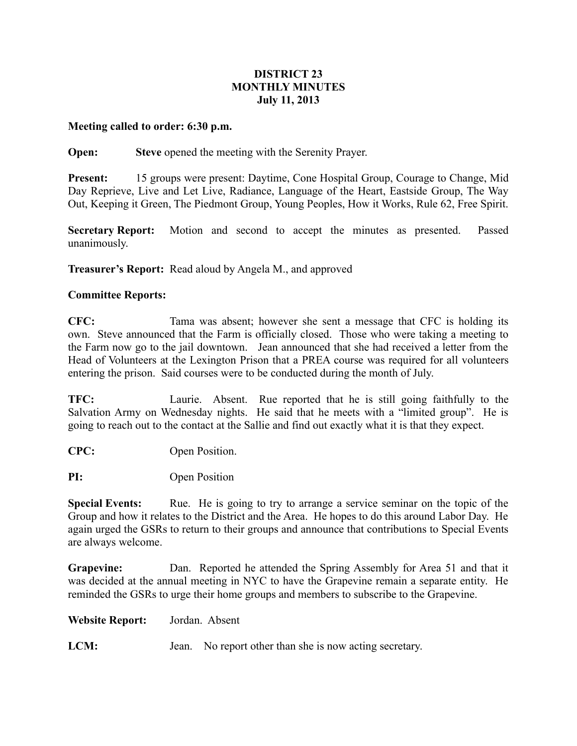## **DISTRICT 23 MONTHLY MINUTES July 11, 2013**

## **Meeting called to order: 6:30 p.m.**

## **Open: Steve** opened the meeting with the Serenity Prayer.

**Present:** 15 groups were present: Daytime, Cone Hospital Group, Courage to Change, Mid Day Reprieve, Live and Let Live, Radiance, Language of the Heart, Eastside Group, The Way Out, Keeping it Green, The Piedmont Group, Young Peoples, How it Works, Rule 62, Free Spirit.

**Secretary Report:** Motion and second to accept the minutes as presented. Passed unanimously.

**Treasurer's Report:** Read aloud by Angela M., and approved

## **Committee Reports:**

**CFC:** Tama was absent; however she sent a message that CFC is holding its own. Steve announced that the Farm is officially closed. Those who were taking a meeting to the Farm now go to the jail downtown. Jean announced that she had received a letter from the Head of Volunteers at the Lexington Prison that a PREA course was required for all volunteers entering the prison. Said courses were to be conducted during the month of July.

**TFC:** Laurie. Absent. Rue reported that he is still going faithfully to the Salvation Army on Wednesday nights. He said that he meets with a "limited group". He is going to reach out to the contact at the Sallie and find out exactly what it is that they expect.

**CPC:** Open Position.

**PI:** Open Position

**Special Events:** Rue. He is going to try to arrange a service seminar on the topic of the Group and how it relates to the District and the Area. He hopes to do this around Labor Day. He again urged the GSRs to return to their groups and announce that contributions to Special Events are always welcome.

**Grapevine:** Dan. Reported he attended the Spring Assembly for Area 51 and that it was decided at the annual meeting in NYC to have the Grapevine remain a separate entity. He reminded the GSRs to urge their home groups and members to subscribe to the Grapevine.

**Website Report:** Jordan. Absent

**LCM:** Jean. No report other than she is now acting secretary.